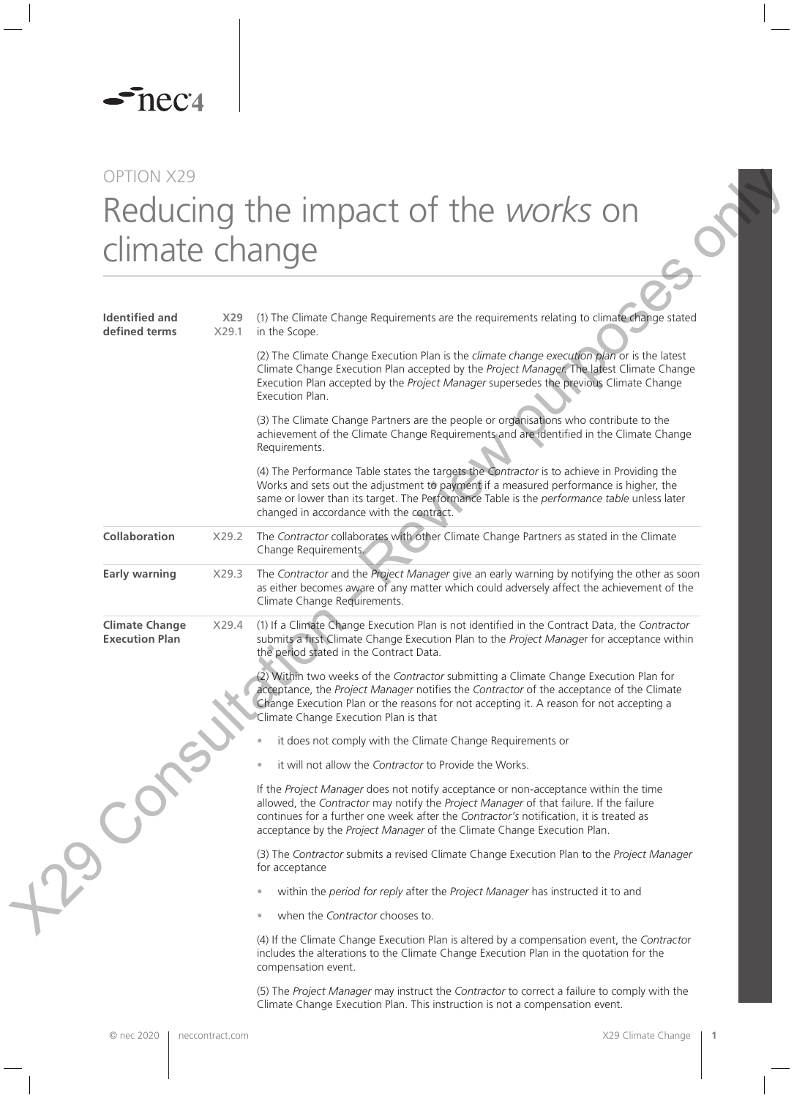

## OPTION X29 Reducing the impact of the *works* on climate change

| <b>Identified and</b><br>X29<br>defined terms<br>X29.1<br>in the Scope.<br>(2) The Climate Change Execution Plan is the climate change execution plan or is the latest<br>Execution Plan accepted by the Project Manager supersedes the previous Climate Change<br>Execution Plan.<br>(3) The Climate Change Partners are the people or organisations who contribute to the<br>achievement of the Climate Change Requirements and are identified in the Climate Change<br>Requirements.<br>(4) The Performance Table states the targets the Contractor is to achieve in Providing the<br>Works and sets out the adjustment to payment if a measured performance is higher, the<br>same or lower than its target. The Performance Table is the performance table unless later<br>changed in accordance with the contract.<br>Collaboration<br>The Contractor collaborates with other Climate Change Partners as stated in the Climate<br>X29.2<br>Change Requirements.<br><b>Early warning</b><br>X29.3<br>Climate Change Requirements.<br><b>Climate Change</b><br>(1) If a Climate Change Execution Plan is not identified in the Contract Data, the Contractor<br>X29.4<br><b>Execution Plan</b><br>the period stated in the Contract Data.<br>(2) Within two weeks of the Contractor submitting a Climate Change Execution Plan for<br>acceptance, the Project Manager notifies the Contractor of the acceptance of the Climate<br>Change Execution Plan or the reasons for not accepting it. A reason for not accepting a<br>Climate Change Execution Plan is that<br>it does not comply with the Climate Change Requirements or<br>it will not allow the Contractor to Provide the Works.<br>If the Project Manager does not notify acceptance or non-acceptance within the time<br>allowed, the Contractor may notify the Project Manager of that failure. If the failure<br>continues for a further one week after the Contractor's notification, it is treated as<br>acceptance by the Project Manager of the Climate Change Execution Plan.<br>(3) The Contractor submits a revised Climate Change Execution Plan to the Project Manager<br>for acceptance<br>within the period for reply after the Project Manager has instructed it to and<br>when the Contractor chooses to.<br>(4) If the Climate Change Execution Plan is altered by a compensation event, the Contractor<br>includes the alterations to the Climate Change Execution Plan in the quotation for the<br>compensation event.<br>(5) The Project Manager may instruct the Contractor to correct a failure to comply with the | climate change |                                                                                                                                                                                          |
|---------------------------------------------------------------------------------------------------------------------------------------------------------------------------------------------------------------------------------------------------------------------------------------------------------------------------------------------------------------------------------------------------------------------------------------------------------------------------------------------------------------------------------------------------------------------------------------------------------------------------------------------------------------------------------------------------------------------------------------------------------------------------------------------------------------------------------------------------------------------------------------------------------------------------------------------------------------------------------------------------------------------------------------------------------------------------------------------------------------------------------------------------------------------------------------------------------------------------------------------------------------------------------------------------------------------------------------------------------------------------------------------------------------------------------------------------------------------------------------------------------------------------------------------------------------------------------------------------------------------------------------------------------------------------------------------------------------------------------------------------------------------------------------------------------------------------------------------------------------------------------------------------------------------------------------------------------------------------------------------------------------------------------------------------------------------------------------------------------------------------------------------------------------------------------------------------------------------------------------------------------------------------------------------------------------------------------------------------------------------------------------------------------------------------------------------------------------------------------------------------------------------------------------------------------------------------------------------------------|----------------|------------------------------------------------------------------------------------------------------------------------------------------------------------------------------------------|
|                                                                                                                                                                                                                                                                                                                                                                                                                                                                                                                                                                                                                                                                                                                                                                                                                                                                                                                                                                                                                                                                                                                                                                                                                                                                                                                                                                                                                                                                                                                                                                                                                                                                                                                                                                                                                                                                                                                                                                                                                                                                                                                                                                                                                                                                                                                                                                                                                                                                                                                                                                                                         |                | (1) The Climate Change Requirements are the requirements relating to climate change stated                                                                                               |
|                                                                                                                                                                                                                                                                                                                                                                                                                                                                                                                                                                                                                                                                                                                                                                                                                                                                                                                                                                                                                                                                                                                                                                                                                                                                                                                                                                                                                                                                                                                                                                                                                                                                                                                                                                                                                                                                                                                                                                                                                                                                                                                                                                                                                                                                                                                                                                                                                                                                                                                                                                                                         |                | Climate Change Execution Plan accepted by the Project Manager. The latest Climate Change                                                                                                 |
|                                                                                                                                                                                                                                                                                                                                                                                                                                                                                                                                                                                                                                                                                                                                                                                                                                                                                                                                                                                                                                                                                                                                                                                                                                                                                                                                                                                                                                                                                                                                                                                                                                                                                                                                                                                                                                                                                                                                                                                                                                                                                                                                                                                                                                                                                                                                                                                                                                                                                                                                                                                                         |                |                                                                                                                                                                                          |
|                                                                                                                                                                                                                                                                                                                                                                                                                                                                                                                                                                                                                                                                                                                                                                                                                                                                                                                                                                                                                                                                                                                                                                                                                                                                                                                                                                                                                                                                                                                                                                                                                                                                                                                                                                                                                                                                                                                                                                                                                                                                                                                                                                                                                                                                                                                                                                                                                                                                                                                                                                                                         |                |                                                                                                                                                                                          |
|                                                                                                                                                                                                                                                                                                                                                                                                                                                                                                                                                                                                                                                                                                                                                                                                                                                                                                                                                                                                                                                                                                                                                                                                                                                                                                                                                                                                                                                                                                                                                                                                                                                                                                                                                                                                                                                                                                                                                                                                                                                                                                                                                                                                                                                                                                                                                                                                                                                                                                                                                                                                         |                |                                                                                                                                                                                          |
|                                                                                                                                                                                                                                                                                                                                                                                                                                                                                                                                                                                                                                                                                                                                                                                                                                                                                                                                                                                                                                                                                                                                                                                                                                                                                                                                                                                                                                                                                                                                                                                                                                                                                                                                                                                                                                                                                                                                                                                                                                                                                                                                                                                                                                                                                                                                                                                                                                                                                                                                                                                                         |                | The Contractor and the Project Manager give an early warning by notifying the other as soon<br>as either becomes aware of any matter which could adversely affect the achievement of the |
|                                                                                                                                                                                                                                                                                                                                                                                                                                                                                                                                                                                                                                                                                                                                                                                                                                                                                                                                                                                                                                                                                                                                                                                                                                                                                                                                                                                                                                                                                                                                                                                                                                                                                                                                                                                                                                                                                                                                                                                                                                                                                                                                                                                                                                                                                                                                                                                                                                                                                                                                                                                                         |                | submits a first Climate Change Execution Plan to the Project Manager for acceptance within                                                                                               |
|                                                                                                                                                                                                                                                                                                                                                                                                                                                                                                                                                                                                                                                                                                                                                                                                                                                                                                                                                                                                                                                                                                                                                                                                                                                                                                                                                                                                                                                                                                                                                                                                                                                                                                                                                                                                                                                                                                                                                                                                                                                                                                                                                                                                                                                                                                                                                                                                                                                                                                                                                                                                         |                |                                                                                                                                                                                          |
|                                                                                                                                                                                                                                                                                                                                                                                                                                                                                                                                                                                                                                                                                                                                                                                                                                                                                                                                                                                                                                                                                                                                                                                                                                                                                                                                                                                                                                                                                                                                                                                                                                                                                                                                                                                                                                                                                                                                                                                                                                                                                                                                                                                                                                                                                                                                                                                                                                                                                                                                                                                                         |                |                                                                                                                                                                                          |
|                                                                                                                                                                                                                                                                                                                                                                                                                                                                                                                                                                                                                                                                                                                                                                                                                                                                                                                                                                                                                                                                                                                                                                                                                                                                                                                                                                                                                                                                                                                                                                                                                                                                                                                                                                                                                                                                                                                                                                                                                                                                                                                                                                                                                                                                                                                                                                                                                                                                                                                                                                                                         |                |                                                                                                                                                                                          |
|                                                                                                                                                                                                                                                                                                                                                                                                                                                                                                                                                                                                                                                                                                                                                                                                                                                                                                                                                                                                                                                                                                                                                                                                                                                                                                                                                                                                                                                                                                                                                                                                                                                                                                                                                                                                                                                                                                                                                                                                                                                                                                                                                                                                                                                                                                                                                                                                                                                                                                                                                                                                         |                |                                                                                                                                                                                          |
|                                                                                                                                                                                                                                                                                                                                                                                                                                                                                                                                                                                                                                                                                                                                                                                                                                                                                                                                                                                                                                                                                                                                                                                                                                                                                                                                                                                                                                                                                                                                                                                                                                                                                                                                                                                                                                                                                                                                                                                                                                                                                                                                                                                                                                                                                                                                                                                                                                                                                                                                                                                                         |                |                                                                                                                                                                                          |
|                                                                                                                                                                                                                                                                                                                                                                                                                                                                                                                                                                                                                                                                                                                                                                                                                                                                                                                                                                                                                                                                                                                                                                                                                                                                                                                                                                                                                                                                                                                                                                                                                                                                                                                                                                                                                                                                                                                                                                                                                                                                                                                                                                                                                                                                                                                                                                                                                                                                                                                                                                                                         |                |                                                                                                                                                                                          |
|                                                                                                                                                                                                                                                                                                                                                                                                                                                                                                                                                                                                                                                                                                                                                                                                                                                                                                                                                                                                                                                                                                                                                                                                                                                                                                                                                                                                                                                                                                                                                                                                                                                                                                                                                                                                                                                                                                                                                                                                                                                                                                                                                                                                                                                                                                                                                                                                                                                                                                                                                                                                         |                |                                                                                                                                                                                          |
|                                                                                                                                                                                                                                                                                                                                                                                                                                                                                                                                                                                                                                                                                                                                                                                                                                                                                                                                                                                                                                                                                                                                                                                                                                                                                                                                                                                                                                                                                                                                                                                                                                                                                                                                                                                                                                                                                                                                                                                                                                                                                                                                                                                                                                                                                                                                                                                                                                                                                                                                                                                                         |                |                                                                                                                                                                                          |
|                                                                                                                                                                                                                                                                                                                                                                                                                                                                                                                                                                                                                                                                                                                                                                                                                                                                                                                                                                                                                                                                                                                                                                                                                                                                                                                                                                                                                                                                                                                                                                                                                                                                                                                                                                                                                                                                                                                                                                                                                                                                                                                                                                                                                                                                                                                                                                                                                                                                                                                                                                                                         |                | Climate Change Execution Plan. This instruction is not a compensation event.                                                                                                             |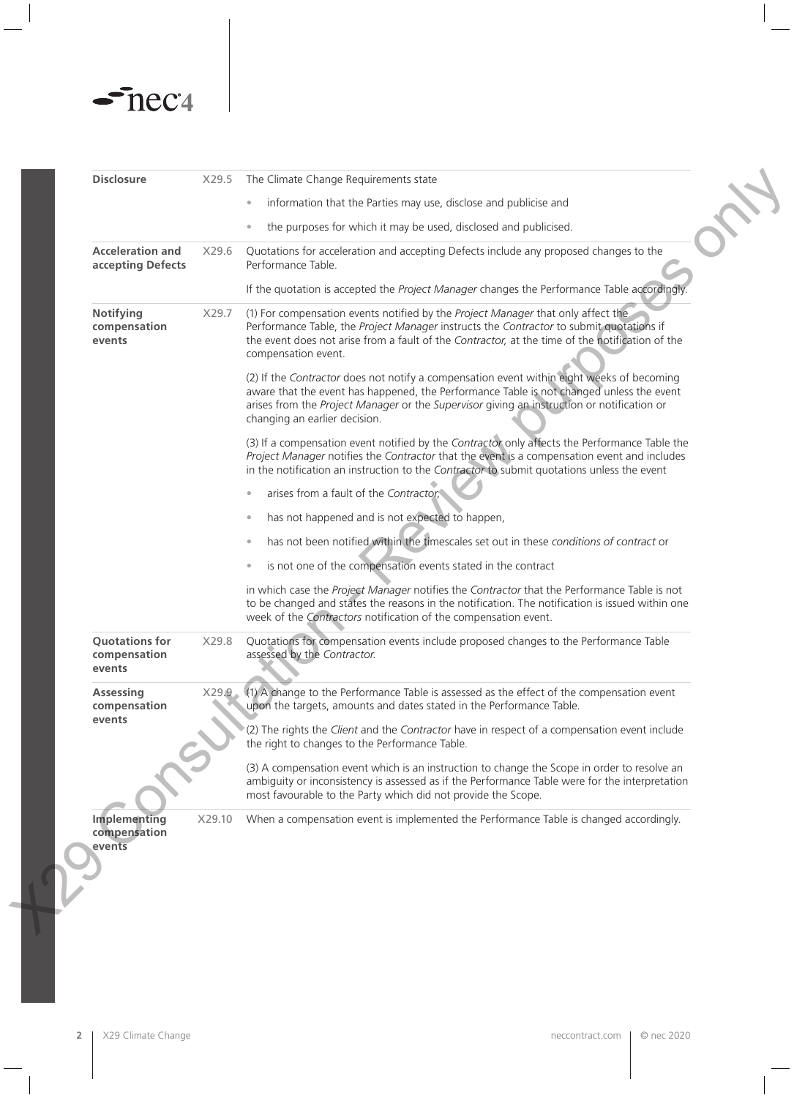## $\sim$ nec $4$

 $\overline{\phantom{0}}$ 

| <b>Disclosure</b><br>X29.5<br>The Climate Change Requirements state<br>information that the Parties may use, disclose and publicise and<br>$\bullet$<br>the purposes for which it may be used, disclosed and publicised.<br><b>Acceleration and</b><br>Quotations for acceleration and accepting Defects include any proposed changes to the<br>X29.6<br>accepting Defects<br>Performance Table.<br>If the quotation is accepted the Project Manager changes the Performance Table accordingly.<br>Notifying<br>(1) For compensation events notified by the Project Manager that only affect the<br>X29.7<br>Performance Table, the Project Manager instructs the Contractor to submit quotations if<br>compensation<br>the event does not arise from a fault of the Contractor, at the time of the notification of the<br>events<br>compensation event.<br>(2) If the Contractor does not notify a compensation event within eight weeks of becoming<br>aware that the event has happened, the Performance Table is not changed unless the event<br>arises from the Project Manager or the Supervisor giving an instruction or notification or<br>changing an earlier decision.<br>(3) If a compensation event notified by the Contractor only affects the Performance Table the<br>Project Manager notifies the Contractor that the event is a compensation event and includes<br>in the notification an instruction to the Contractor to submit quotations unless the event<br>arises from a fault of the Contractor,<br>has not happened and is not expected to happen,<br>has not been notified within the timescales set out in these conditions of contract or<br>is not one of the compensation events stated in the contract<br>in which case the Project Manager notifies the Contractor that the Performance Table is not<br>to be changed and states the reasons in the notification. The notification is issued within one<br>week of the Contractors notification of the compensation event.<br><b>Quotations for</b><br>X29.8<br>Quotations for compensation events include proposed changes to the Performance Table<br>assessed by the Contractor.<br>compensation<br>events<br>(1) A change to the Performance Table is assessed as the effect of the compensation event<br><b>Assessing</b><br>X29.9<br>upon the targets, amounts and dates stated in the Performance Table.<br>compensation<br>events<br>(2) The rights the Client and the Contractor have in respect of a compensation event include<br>the right to changes to the Performance Table.<br>(3) A compensation event which is an instruction to change the Scope in order to resolve an<br>ambiguity or inconsistency is assessed as if the Performance Table were for the interpretation<br>most favourable to the Party which did not provide the Scope.<br>Implementing<br>X29.10<br>When a compensation event is implemented the Performance Table is changed accordingly.<br>compensation<br>events |  |  |
|---------------------------------------------------------------------------------------------------------------------------------------------------------------------------------------------------------------------------------------------------------------------------------------------------------------------------------------------------------------------------------------------------------------------------------------------------------------------------------------------------------------------------------------------------------------------------------------------------------------------------------------------------------------------------------------------------------------------------------------------------------------------------------------------------------------------------------------------------------------------------------------------------------------------------------------------------------------------------------------------------------------------------------------------------------------------------------------------------------------------------------------------------------------------------------------------------------------------------------------------------------------------------------------------------------------------------------------------------------------------------------------------------------------------------------------------------------------------------------------------------------------------------------------------------------------------------------------------------------------------------------------------------------------------------------------------------------------------------------------------------------------------------------------------------------------------------------------------------------------------------------------------------------------------------------------------------------------------------------------------------------------------------------------------------------------------------------------------------------------------------------------------------------------------------------------------------------------------------------------------------------------------------------------------------------------------------------------------------------------------------------------------------------------------------------------------------------------------------------------------------------------------------------------------------------------------------------------------------------------------------------------------------------------------------------------------------------------------------------------------------------------------------------------------------------------------------------------------------------------------------------------------------------------------------------------------------------------------------------------------|--|--|
|                                                                                                                                                                                                                                                                                                                                                                                                                                                                                                                                                                                                                                                                                                                                                                                                                                                                                                                                                                                                                                                                                                                                                                                                                                                                                                                                                                                                                                                                                                                                                                                                                                                                                                                                                                                                                                                                                                                                                                                                                                                                                                                                                                                                                                                                                                                                                                                                                                                                                                                                                                                                                                                                                                                                                                                                                                                                                                                                                                                             |  |  |
|                                                                                                                                                                                                                                                                                                                                                                                                                                                                                                                                                                                                                                                                                                                                                                                                                                                                                                                                                                                                                                                                                                                                                                                                                                                                                                                                                                                                                                                                                                                                                                                                                                                                                                                                                                                                                                                                                                                                                                                                                                                                                                                                                                                                                                                                                                                                                                                                                                                                                                                                                                                                                                                                                                                                                                                                                                                                                                                                                                                             |  |  |
|                                                                                                                                                                                                                                                                                                                                                                                                                                                                                                                                                                                                                                                                                                                                                                                                                                                                                                                                                                                                                                                                                                                                                                                                                                                                                                                                                                                                                                                                                                                                                                                                                                                                                                                                                                                                                                                                                                                                                                                                                                                                                                                                                                                                                                                                                                                                                                                                                                                                                                                                                                                                                                                                                                                                                                                                                                                                                                                                                                                             |  |  |
|                                                                                                                                                                                                                                                                                                                                                                                                                                                                                                                                                                                                                                                                                                                                                                                                                                                                                                                                                                                                                                                                                                                                                                                                                                                                                                                                                                                                                                                                                                                                                                                                                                                                                                                                                                                                                                                                                                                                                                                                                                                                                                                                                                                                                                                                                                                                                                                                                                                                                                                                                                                                                                                                                                                                                                                                                                                                                                                                                                                             |  |  |
|                                                                                                                                                                                                                                                                                                                                                                                                                                                                                                                                                                                                                                                                                                                                                                                                                                                                                                                                                                                                                                                                                                                                                                                                                                                                                                                                                                                                                                                                                                                                                                                                                                                                                                                                                                                                                                                                                                                                                                                                                                                                                                                                                                                                                                                                                                                                                                                                                                                                                                                                                                                                                                                                                                                                                                                                                                                                                                                                                                                             |  |  |
|                                                                                                                                                                                                                                                                                                                                                                                                                                                                                                                                                                                                                                                                                                                                                                                                                                                                                                                                                                                                                                                                                                                                                                                                                                                                                                                                                                                                                                                                                                                                                                                                                                                                                                                                                                                                                                                                                                                                                                                                                                                                                                                                                                                                                                                                                                                                                                                                                                                                                                                                                                                                                                                                                                                                                                                                                                                                                                                                                                                             |  |  |
|                                                                                                                                                                                                                                                                                                                                                                                                                                                                                                                                                                                                                                                                                                                                                                                                                                                                                                                                                                                                                                                                                                                                                                                                                                                                                                                                                                                                                                                                                                                                                                                                                                                                                                                                                                                                                                                                                                                                                                                                                                                                                                                                                                                                                                                                                                                                                                                                                                                                                                                                                                                                                                                                                                                                                                                                                                                                                                                                                                                             |  |  |
|                                                                                                                                                                                                                                                                                                                                                                                                                                                                                                                                                                                                                                                                                                                                                                                                                                                                                                                                                                                                                                                                                                                                                                                                                                                                                                                                                                                                                                                                                                                                                                                                                                                                                                                                                                                                                                                                                                                                                                                                                                                                                                                                                                                                                                                                                                                                                                                                                                                                                                                                                                                                                                                                                                                                                                                                                                                                                                                                                                                             |  |  |
|                                                                                                                                                                                                                                                                                                                                                                                                                                                                                                                                                                                                                                                                                                                                                                                                                                                                                                                                                                                                                                                                                                                                                                                                                                                                                                                                                                                                                                                                                                                                                                                                                                                                                                                                                                                                                                                                                                                                                                                                                                                                                                                                                                                                                                                                                                                                                                                                                                                                                                                                                                                                                                                                                                                                                                                                                                                                                                                                                                                             |  |  |
|                                                                                                                                                                                                                                                                                                                                                                                                                                                                                                                                                                                                                                                                                                                                                                                                                                                                                                                                                                                                                                                                                                                                                                                                                                                                                                                                                                                                                                                                                                                                                                                                                                                                                                                                                                                                                                                                                                                                                                                                                                                                                                                                                                                                                                                                                                                                                                                                                                                                                                                                                                                                                                                                                                                                                                                                                                                                                                                                                                                             |  |  |
|                                                                                                                                                                                                                                                                                                                                                                                                                                                                                                                                                                                                                                                                                                                                                                                                                                                                                                                                                                                                                                                                                                                                                                                                                                                                                                                                                                                                                                                                                                                                                                                                                                                                                                                                                                                                                                                                                                                                                                                                                                                                                                                                                                                                                                                                                                                                                                                                                                                                                                                                                                                                                                                                                                                                                                                                                                                                                                                                                                                             |  |  |
|                                                                                                                                                                                                                                                                                                                                                                                                                                                                                                                                                                                                                                                                                                                                                                                                                                                                                                                                                                                                                                                                                                                                                                                                                                                                                                                                                                                                                                                                                                                                                                                                                                                                                                                                                                                                                                                                                                                                                                                                                                                                                                                                                                                                                                                                                                                                                                                                                                                                                                                                                                                                                                                                                                                                                                                                                                                                                                                                                                                             |  |  |
|                                                                                                                                                                                                                                                                                                                                                                                                                                                                                                                                                                                                                                                                                                                                                                                                                                                                                                                                                                                                                                                                                                                                                                                                                                                                                                                                                                                                                                                                                                                                                                                                                                                                                                                                                                                                                                                                                                                                                                                                                                                                                                                                                                                                                                                                                                                                                                                                                                                                                                                                                                                                                                                                                                                                                                                                                                                                                                                                                                                             |  |  |
|                                                                                                                                                                                                                                                                                                                                                                                                                                                                                                                                                                                                                                                                                                                                                                                                                                                                                                                                                                                                                                                                                                                                                                                                                                                                                                                                                                                                                                                                                                                                                                                                                                                                                                                                                                                                                                                                                                                                                                                                                                                                                                                                                                                                                                                                                                                                                                                                                                                                                                                                                                                                                                                                                                                                                                                                                                                                                                                                                                                             |  |  |
|                                                                                                                                                                                                                                                                                                                                                                                                                                                                                                                                                                                                                                                                                                                                                                                                                                                                                                                                                                                                                                                                                                                                                                                                                                                                                                                                                                                                                                                                                                                                                                                                                                                                                                                                                                                                                                                                                                                                                                                                                                                                                                                                                                                                                                                                                                                                                                                                                                                                                                                                                                                                                                                                                                                                                                                                                                                                                                                                                                                             |  |  |
|                                                                                                                                                                                                                                                                                                                                                                                                                                                                                                                                                                                                                                                                                                                                                                                                                                                                                                                                                                                                                                                                                                                                                                                                                                                                                                                                                                                                                                                                                                                                                                                                                                                                                                                                                                                                                                                                                                                                                                                                                                                                                                                                                                                                                                                                                                                                                                                                                                                                                                                                                                                                                                                                                                                                                                                                                                                                                                                                                                                             |  |  |
|                                                                                                                                                                                                                                                                                                                                                                                                                                                                                                                                                                                                                                                                                                                                                                                                                                                                                                                                                                                                                                                                                                                                                                                                                                                                                                                                                                                                                                                                                                                                                                                                                                                                                                                                                                                                                                                                                                                                                                                                                                                                                                                                                                                                                                                                                                                                                                                                                                                                                                                                                                                                                                                                                                                                                                                                                                                                                                                                                                                             |  |  |
|                                                                                                                                                                                                                                                                                                                                                                                                                                                                                                                                                                                                                                                                                                                                                                                                                                                                                                                                                                                                                                                                                                                                                                                                                                                                                                                                                                                                                                                                                                                                                                                                                                                                                                                                                                                                                                                                                                                                                                                                                                                                                                                                                                                                                                                                                                                                                                                                                                                                                                                                                                                                                                                                                                                                                                                                                                                                                                                                                                                             |  |  |
|                                                                                                                                                                                                                                                                                                                                                                                                                                                                                                                                                                                                                                                                                                                                                                                                                                                                                                                                                                                                                                                                                                                                                                                                                                                                                                                                                                                                                                                                                                                                                                                                                                                                                                                                                                                                                                                                                                                                                                                                                                                                                                                                                                                                                                                                                                                                                                                                                                                                                                                                                                                                                                                                                                                                                                                                                                                                                                                                                                                             |  |  |
|                                                                                                                                                                                                                                                                                                                                                                                                                                                                                                                                                                                                                                                                                                                                                                                                                                                                                                                                                                                                                                                                                                                                                                                                                                                                                                                                                                                                                                                                                                                                                                                                                                                                                                                                                                                                                                                                                                                                                                                                                                                                                                                                                                                                                                                                                                                                                                                                                                                                                                                                                                                                                                                                                                                                                                                                                                                                                                                                                                                             |  |  |